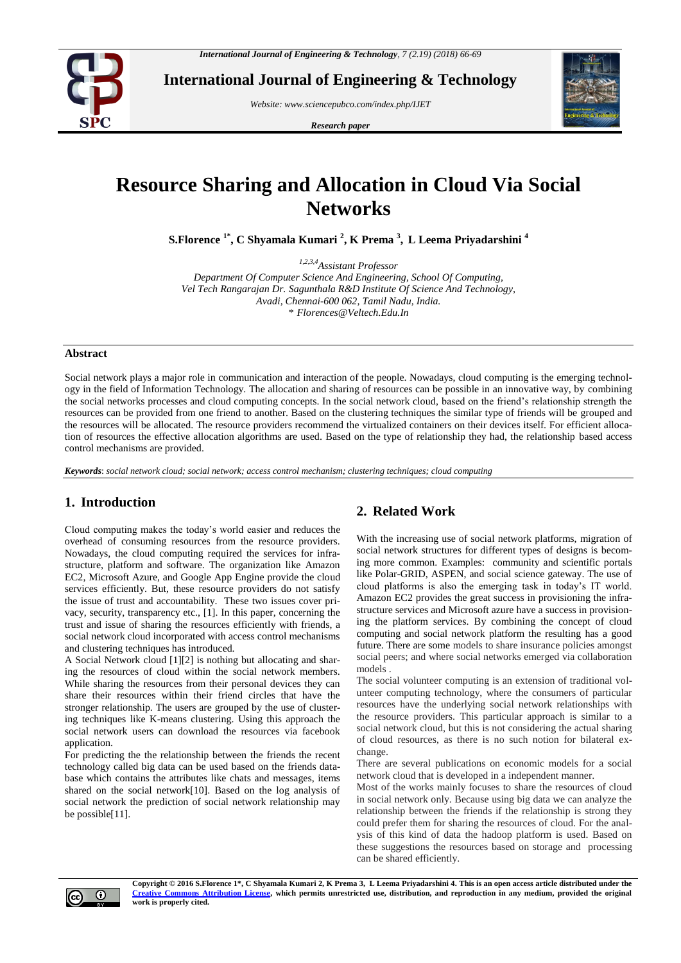

**International Journal of Engineering & Technology**

*Website: www.sciencepubco.com/index.php/IJET* 

*Research paper*



# **Resource Sharing and Allocation in Cloud Via Social Networks**

**S.Florence 1\* , C Shyamala Kumari <sup>2</sup> , K Prema <sup>3</sup> , L Leema Priyadarshini <sup>4</sup>**

*1,2,3,4Assistant Professor Department Of Computer Science And Engineering, School Of Computing, Vel Tech Rangarajan Dr. Sagunthala R&D Institute Of Science And Technology, Avadi, Chennai-600 062, Tamil Nadu, India. \* Florences@Veltech.Edu.In*

#### **Abstract**

Social network plays a major role in communication and interaction of the people. Nowadays, cloud computing is the emerging technology in the field of Information Technology. The allocation and sharing of resources can be possible in an innovative way, by combining the social networks processes and cloud computing concepts. In the social network cloud, based on the friend's relationship strength the resources can be provided from one friend to another. Based on the clustering techniques the similar type of friends will be grouped and the resources will be allocated. The resource providers recommend the virtualized containers on their devices itself. For efficient allocation of resources the effective allocation algorithms are used. Based on the type of relationship they had, the relationship based access control mechanisms are provided.

*Keywords*: *social network cloud; social network; access control mechanism; clustering techniques; cloud computing*

# **1. Introduction**

Cloud computing makes the today's world easier and reduces the overhead of consuming resources from the resource providers. Nowadays, the cloud computing required the services for infrastructure, platform and software. The organization like Amazon EC2, Microsoft Azure, and Google App Engine provide the cloud services efficiently. But, these resource providers do not satisfy the issue of trust and accountability. These two issues cover privacy, security, transparency etc., [1]. In this paper, concerning the trust and issue of sharing the resources efficiently with friends, a social network cloud incorporated with access control mechanisms and clustering techniques has introduced.

A Social Network cloud [1][2] is nothing but allocating and sharing the resources of cloud within the social network members. While sharing the resources from their personal devices they can share their resources within their friend circles that have the stronger relationship. The users are grouped by the use of clustering techniques like K-means clustering. Using this approach the social network users can download the resources via facebook application.

For predicting the the relationship between the friends the recent technology called big data can be used based on the friends database which contains the attributes like chats and messages, items shared on the social network[10]. Based on the log analysis of social network the prediction of social network relationship may be possible[11].

# **2. Related Work**

With the increasing use of social network platforms, migration of social network structures for different types of designs is becoming more common. Examples: community and scientific portals like Polar-GRID, ASPEN, and social science gateway. The use of cloud platforms is also the emerging task in today's IT world. Amazon EC2 provides the great success in provisioning the infrastructure services and Microsoft azure have a success in provisioning the platform services. By combining the concept of cloud computing and social network platform the resulting has a good future. There are some models to share insurance policies amongst social peers; and where social networks emerged via collaboration models .

The social volunteer computing is an extension of traditional volunteer computing technology, where the consumers of particular resources have the underlying social network relationships with the resource providers. This particular approach is similar to a social network cloud, but this is not considering the actual sharing of cloud resources, as there is no such notion for bilateral exchange.

There are several publications on economic models for a social network cloud that is developed in a independent manner.

Most of the works mainly focuses to share the resources of cloud in social network only. Because using big data we can analyze the relationship between the friends if the relationship is strong they could prefer them for sharing the resources of cloud. For the analysis of this kind of data the hadoop platform is used. Based on these suggestions the resources based on storage and processing can be shared efficiently.



**Copyright © 2016 S.Florence 1\*, C Shyamala Kumari 2, K Prema 3, L Leema Priyadarshini 4. This is an open access article distributed under the Creative Commons Attribution License, which permits unrestricted use, distribution, and reproduction in any medium, provided the original work is properly cited.**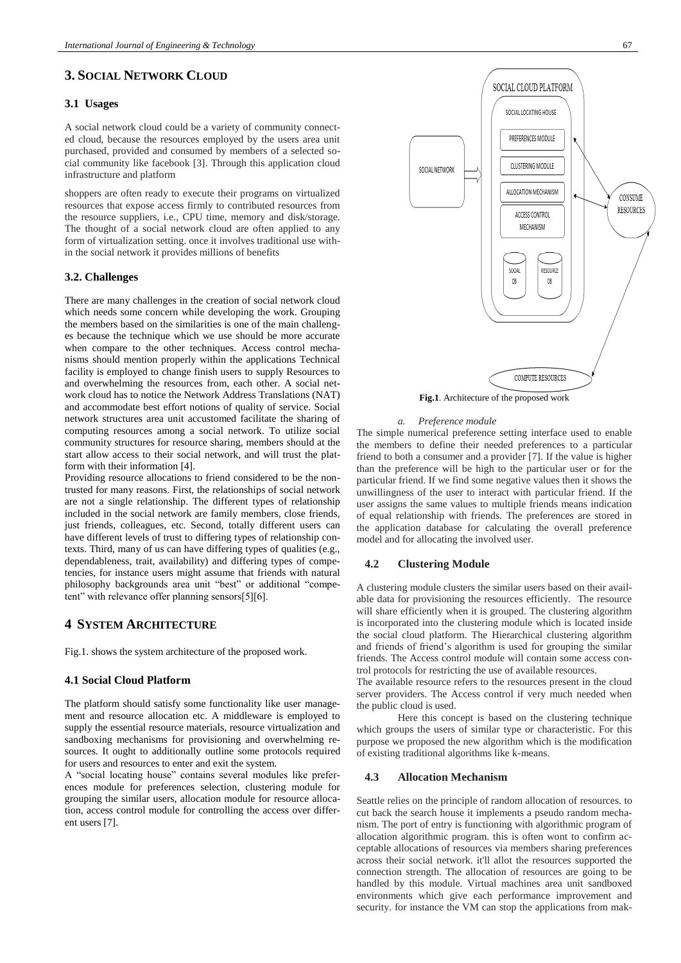## **3. SOCIAL NETWORK CLOUD**

#### **3.1 Usages**

A social network cloud could be a variety of community connected cloud, because the resources employed by the users area unit purchased, provided and consumed by members of a selected social community like facebook [3]. Through this application cloud infrastructure and platform

shoppers are often ready to execute their programs on virtualized resources that expose access firmly to contributed resources from the resource suppliers, i.e., CPU time, memory and disk/storage. The thought of a social network cloud are often applied to any form of virtualization setting. once it involves traditional use within the social network it provides millions of benefits

#### **3.2. Challenges**

There are many challenges in the creation of social network cloud which needs some concern while developing the work. Grouping the members based on the similarities is one of the main challenges because the technique which we use should be more accurate when compare to the other techniques. Access control mechanisms should mention properly within the applications Technical facility is employed to change finish users to supply Resources to and overwhelming the resources from, each other. A social network cloud has to notice the Network Address Translations (NAT) and accommodate best effort notions of quality of service. Social network structures area unit accustomed facilitate the sharing of computing resources among a social network. To utilize social community structures for resource sharing, members should at the start allow access to their social network, and will trust the platform with their information [4].

Providing resource allocations to friend considered to be the nontrusted for many reasons. First, the relationships of social network are not a single relationship. The different types of relationship included in the social network are family members, close friends, just friends, colleagues, etc. Second, totally different users can have different levels of trust to differing types of relationship contexts. Third, many of us can have differing types of qualities (e.g., dependableness, trait, availability) and differing types of competencies, for instance users might assume that friends with natural philosophy backgrounds area unit "best" or additional "competent" with relevance offer planning sensors[5][6].

#### **4 SYSTEM ARCHITECTURE**

Fig.1. shows the system architecture of the proposed work.

### **4.1 Social Cloud Platform**

The platform should satisfy some functionality like user management and resource allocation etc. A middleware is employed to supply the essential resource materials, resource virtualization and sandboxing mechanisms for provisioning and overwhelming resources. It ought to additionally outline some protocols required for users and resources to enter and exit the system.

A "social locating house" contains several modules like preferences module for preferences selection, clustering module for grouping the similar users, allocation module for resource allocation, access control module for controlling the access over different users [7].



**Fig.1**. Architecture of the proposed work

### *a. Preference module*

The simple numerical preference setting interface used to enable the members to define their needed preferences to a particular friend to both a consumer and a provider [7]. If the value is higher than the preference will be high to the particular user or for the particular friend. If we find some negative values then it shows the unwillingness of the user to interact with particular friend. If the user assigns the same values to multiple friends means indication of equal relationship with friends. The preferences are stored in the application database for calculating the overall preference model and for allocating the involved user.

#### **4.2 Clustering Module**

A clustering module clusters the similar users based on their available data for provisioning the resources efficiently. The resource will share efficiently when it is grouped. The clustering algorithm is incorporated into the clustering module which is located inside the social cloud platform. The Hierarchical clustering algorithm and friends of friend's algorithm is used for grouping the similar friends. The Access control module will contain some access control protocols for restricting the use of available resources.

The available resource refers to the resources present in the cloud server providers. The Access control if very much needed when the public cloud is used.

Here this concept is based on the clustering technique which groups the users of similar type or characteristic. For this purpose we proposed the new algorithm which is the modification of existing traditional algorithms like k-means.

#### **4.3 Allocation Mechanism**

Seattle relies on the principle of random allocation of resources. to cut back the search house it implements a pseudo random mechanism. The port of entry is functioning with algorithmic program of allocation algorithmic program. this is often wont to confirm acceptable allocations of resources via members sharing preferences across their social network. it'll allot the resources supported the connection strength. The allocation of resources are going to be handled by this module. Virtual machines area unit sandboxed environments which give each performance improvement and security. for instance the VM can stop the applications from mak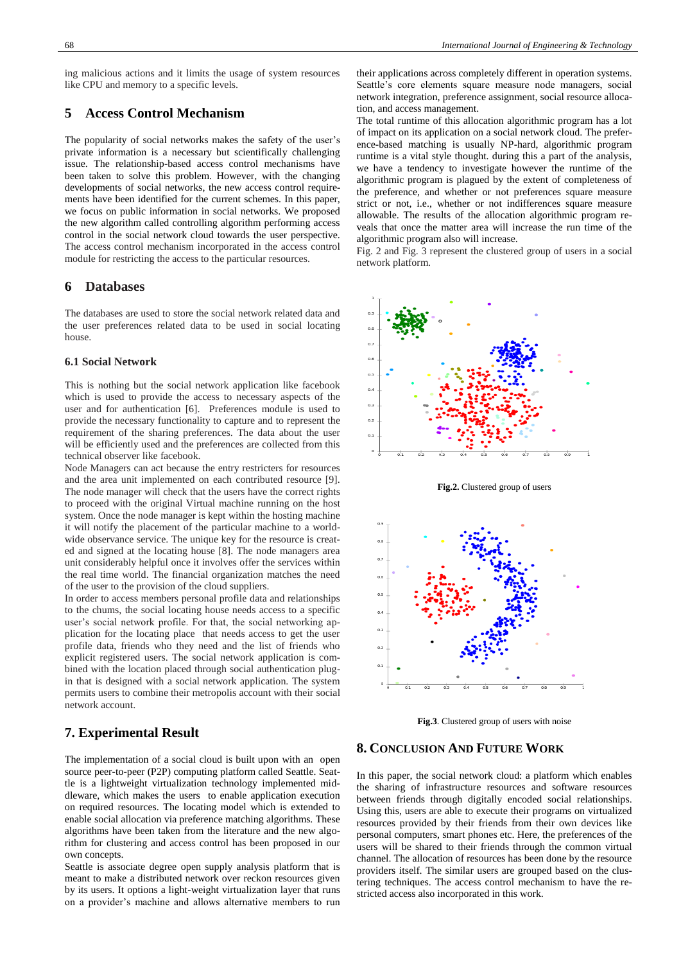ing malicious actions and it limits the usage of system resources like CPU and memory to a specific levels.

# **5 Access Control Mechanism**

The popularity of social networks makes the safety of the user's private information is a necessary but scientifically challenging issue. The relationship-based access control mechanisms have been taken to solve this problem. However, with the changing developments of social networks, the new access control requirements have been identified for the current schemes. In this paper, we focus on public information in social networks. We proposed the new algorithm called controlling algorithm performing access control in the social network cloud towards the user perspective. The access control mechanism incorporated in the access control module for restricting the access to the particular resources.

## **6 Databases**

The databases are used to store the social network related data and the user preferences related data to be used in social locating house.

#### **6.1 Social Network**

This is nothing but the social network application like facebook which is used to provide the access to necessary aspects of the user and for authentication [6]. Preferences module is used to provide the necessary functionality to capture and to represent the requirement of the sharing preferences. The data about the user will be efficiently used and the preferences are collected from this technical observer like facebook.

Node Managers can act because the entry restricters for resources and the area unit implemented on each contributed resource [9]. The node manager will check that the users have the correct rights to proceed with the original Virtual machine running on the host system. Once the node manager is kept within the hosting machine it will notify the placement of the particular machine to a worldwide observance service. The unique key for the resource is created and signed at the locating house [8]. The node managers area unit considerably helpful once it involves offer the services within the real time world. The financial organization matches the need of the user to the provision of the cloud suppliers.

In order to access members personal profile data and relationships to the chums, the social locating house needs access to a specific user's social network profile. For that, the social networking application for the locating place that needs access to get the user profile data, friends who they need and the list of friends who explicit registered users. The social network application is combined with the location placed through social authentication plugin that is designed with a social network application. The system permits users to combine their metropolis account with their social network account.

# **7. Experimental Result**

The implementation of a social cloud is built upon with an open source peer-to-peer (P2P) computing platform called Seattle. Seattle is a lightweight virtualization technology implemented middleware, which makes the users to enable application execution on required resources. The locating model which is extended to enable social allocation via preference matching algorithms. These algorithms have been taken from the literature and the new algorithm for clustering and access control has been proposed in our own concepts.

Seattle is associate degree open supply analysis platform that is meant to make a distributed network over reckon resources given by its users. It options a light-weight virtualization layer that runs on a provider's machine and allows alternative members to run their applications across completely different in operation systems. Seattle's core elements square measure node managers, social network integration, preference assignment, social resource allocation, and access management.

The total runtime of this allocation algorithmic program has a lot of impact on its application on a social network cloud. The preference-based matching is usually NP-hard, algorithmic program runtime is a vital style thought. during this a part of the analysis, we have a tendency to investigate however the runtime of the algorithmic program is plagued by the extent of completeness of the preference, and whether or not preferences square measure strict or not, i.e., whether or not indifferences square measure allowable. The results of the allocation algorithmic program reveals that once the matter area will increase the run time of the algorithmic program also will increase.

Fig. 2 and Fig. 3 represent the clustered group of users in a social network platform.



**Fig.2.** Clustered group of users



**Fig.3**. Clustered group of users with noise

## **8. CONCLUSION AND FUTURE WORK**

In this paper, the social network cloud: a platform which enables the sharing of infrastructure resources and software resources between friends through digitally encoded social relationships. Using this, users are able to execute their programs on virtualized resources provided by their friends from their own devices like personal computers, smart phones etc. Here, the preferences of the users will be shared to their friends through the common virtual channel. The allocation of resources has been done by the resource providers itself. The similar users are grouped based on the clustering techniques. The access control mechanism to have the restricted access also incorporated in this work.